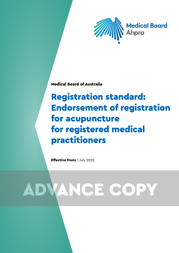

Medical Board of Australia

## Registration standard: Endorsement of registration for acupuncture for registered medical practitioners

Effective from: 1 July 2022

# ADVANCE COPY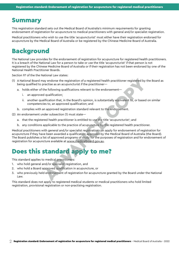### Summary

This registration standard sets out the Medical Board of Australia's minimum requirements for granting endorsement of registration for acupuncture to medical practitioners with general and/or specialist registration.

Medical practitioners who wish to use the title 'acupuncturist' must either have their registration endorsed for acupuncture by the Medical Board of Australia or be registered by the Chinese Medicine Board of Australia.

## Background

The National Law provides for the endorsement of registration for acupuncture for registered health practitioners. It is a breach of the National Law for a person to take or use the title 'acupuncturist' if that person is not registered by the Chinese Medicine Board of Australia or if their registration has not been endorsed by one of the National Health Practitioner Boards.

Section 97 of the the National Law states:

- (1) A National Board may endorse the registration of a registered health practitioner registered by the Board as being qualified to practise as an acupuncturist if the practitioner
	- a. holds either of the following qualifications relevant to the endorsement
		- i. an approved qualification;
		- ii. another qualification that, in the Board's opinion, is substantially equivalent to, or based on similar competencies to, an approved qualification; and
	- b. complies with an approved registration standard relevant to the endorsement.

(2) An endorsement under subsection (1) must state—

- a. that the registered health practitioner is entitled to use the title 'acupuncturist'; and
- b. any conditions applicable to the practice of acupuncture by the registered health practitioner.

Medical practitioners with general and/or specialist registration can apply for endorsement of registration for acupuncture if they have been awarded a qualification approved by the Medical Board of Australia (the Board). The Board publishes a list of approved programs of study for the purposes of registration and for endorsement of registration for acupuncture available at www.medicalboard.gov.au. hay endorse the registration of a registered health practitioner registered by<br>practise as an acupuncturist if the practitioner—<br>the following qualifications relevant to the endorsement—<br>digulatication; that, in the Board'

## Does this standard apply to me?

This standard applies to medical practitioners:

- 1. who hold general and/or specialist registration, and
- 2. who hold a Board approved qualification in acupuncture, or
- 3. who previously held endorsement of registration for acupuncture granted by the Board under the National Law.

This standard does not apply to registered medical students or medical practitioners who hold limited registration, provisional registration or non-practising registration.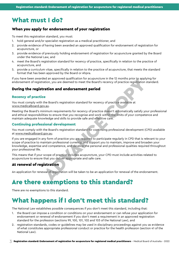## What must I do?

#### When you apply for endorsement of your registration

To meet this registration standard, you must:

- 1. hold general and/or specialist registration as a medical practitioner, and
- 2. provide evidence of having been awarded an approved qualification for endorsement of registration for acupuncture, or
- 3. provide evidence of previously holding endorsement of registration for acupuncture granted by the Board under the National Law, and
- 4. meet the Board's registration standard for recency of practice, specifically in relation to the practice of acupuncture, and
- 5. provide a curriculum vitae, specifically in relation to the practice of acupuncture, that meets the standard format that has been approved by the Board or Ahpra.

If you have been awarded an approved qualification for acupuncture in the 12 months prior to applying for endorsement of registration, you are deemed to meet the Board's recency of practice registration standard.

#### During the registration and endorsement period

#### Recency of practice

You must comply with the Board's registration standard for recency of practice available at [www.medicalboard.gov.au](http://www.medicalboard.gov.au).

Meeting the Board's minimum requirements for recency of practice doesn't automatically satisfy your professional and ethical responsibilities to ensure that you recognise and work within the limits of your competence and maintain adequate knowledge and skills to provide safe and effective care.

#### Continuing professional development

You must comply with the Board's registration standard for continuing professional development (CPD) available at [www.medicalboard.gov.au.](http://www.medicalboard.gov.au)

If you are engaged in any form of practice you are required to participate regularly in CPD that is relevant to your scope of practice to maintain professional currency, and support you to maintain, improve and broaden your knowledge, expertise and competence, and develop the personal and professional qualities required throughout your professional life. ere an approved qualitication for accupuncture in the I2 months prior to apply<br>ation, you are deemed to meet the Board's recency of practice registration<br>**ration and endorsement period**<br>the Board's registration standard fo

This means that if your scope of practice includes acupuncture, your CPD must include activities related to acupuncture to ensure that you deliver appropriate and safe care.

#### At renewal of registration

An application for renewal of registration will be taken to be an application for renewal of the endorsement.

## Are there exemptions to this standard?

There are no exemptions to this standard.

## What happens if I don't meet this standard?

The National Law establishes possible consequences if you don't meet this standard, including that:

- 1. the Board can impose a condition or conditions on your endorsement or can refuse your application for endorsement or renewal of endorsement if you don't meet a requirement in an approved registration standard for the profession (sections 99, 100, 101, 102 and 103 of the National Law), and
- 2. registration standards, codes or guidelines may be used in disciplinary proceedings against you as evidence of what constitutes appropriate professional conduct or practice for the health profession (section 41 of the National Law).